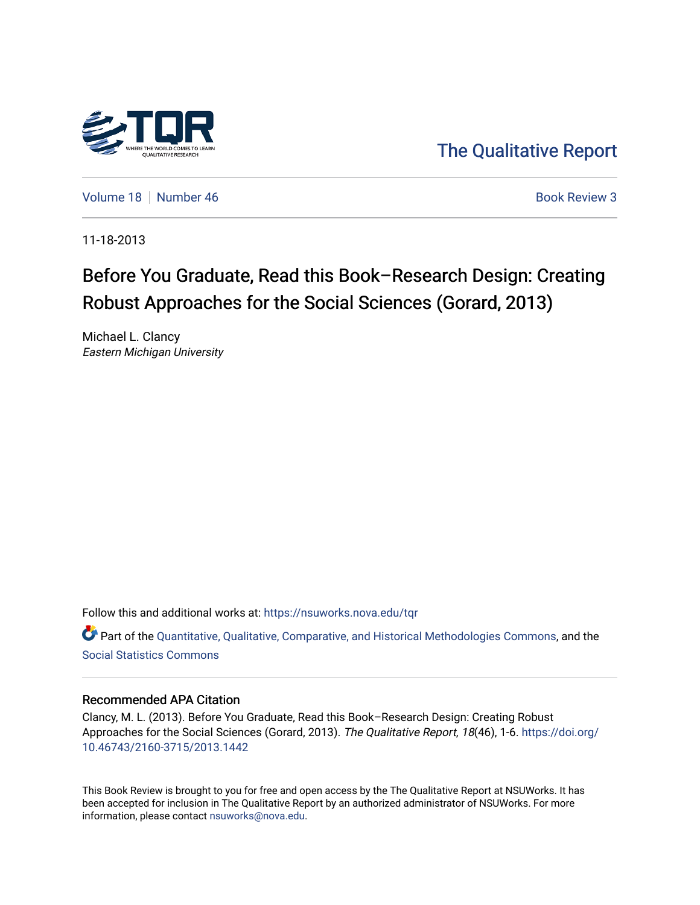

[The Qualitative Report](https://nsuworks.nova.edu/tqr) 

[Volume 18](https://nsuworks.nova.edu/tqr/vol18) [Number 46](https://nsuworks.nova.edu/tqr/vol18/iss46) **Book Review 3** Book Review 3

11-18-2013

## Before You Graduate, Read this Book–Research Design: Creating Robust Approaches for the Social Sciences (Gorard, 2013)

Michael L. Clancy Eastern Michigan University

Follow this and additional works at: [https://nsuworks.nova.edu/tqr](https://nsuworks.nova.edu/tqr?utm_source=nsuworks.nova.edu%2Ftqr%2Fvol18%2Fiss46%2F3&utm_medium=PDF&utm_campaign=PDFCoverPages) 

Part of the [Quantitative, Qualitative, Comparative, and Historical Methodologies Commons,](http://network.bepress.com/hgg/discipline/423?utm_source=nsuworks.nova.edu%2Ftqr%2Fvol18%2Fiss46%2F3&utm_medium=PDF&utm_campaign=PDFCoverPages) and the [Social Statistics Commons](http://network.bepress.com/hgg/discipline/1275?utm_source=nsuworks.nova.edu%2Ftqr%2Fvol18%2Fiss46%2F3&utm_medium=PDF&utm_campaign=PDFCoverPages) 

#### Recommended APA Citation

Clancy, M. L. (2013). Before You Graduate, Read this Book–Research Design: Creating Robust Approaches for the Social Sciences (Gorard, 2013). The Qualitative Report, 18(46), 1-6. [https://doi.org/](https://doi.org/10.46743/2160-3715/2013.1442) [10.46743/2160-3715/2013.1442](https://doi.org/10.46743/2160-3715/2013.1442)

This Book Review is brought to you for free and open access by the The Qualitative Report at NSUWorks. It has been accepted for inclusion in The Qualitative Report by an authorized administrator of NSUWorks. For more information, please contact [nsuworks@nova.edu.](mailto:nsuworks@nova.edu)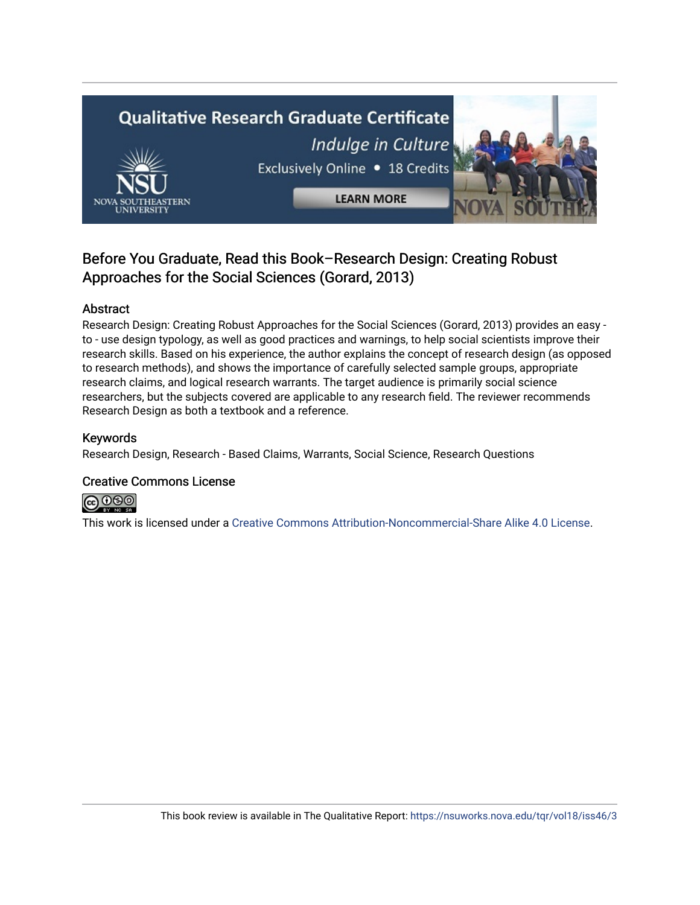# Qualitative Research Graduate Certificate Indulge in Culture Exclusively Online . 18 Credits **LEARN MORE**

### Before You Graduate, Read this Book–Research Design: Creating Robust Approaches for the Social Sciences (Gorard, 2013)

#### Abstract

Research Design: Creating Robust Approaches for the Social Sciences (Gorard, 2013) provides an easy to - use design typology, as well as good practices and warnings, to help social scientists improve their research skills. Based on his experience, the author explains the concept of research design (as opposed to research methods), and shows the importance of carefully selected sample groups, appropriate research claims, and logical research warrants. The target audience is primarily social science researchers, but the subjects covered are applicable to any research field. The reviewer recommends Research Design as both a textbook and a reference.

#### Keywords

Research Design, Research - Based Claims, Warrants, Social Science, Research Questions

#### Creative Commons License



This work is licensed under a [Creative Commons Attribution-Noncommercial-Share Alike 4.0 License](https://creativecommons.org/licenses/by-nc-sa/4.0/).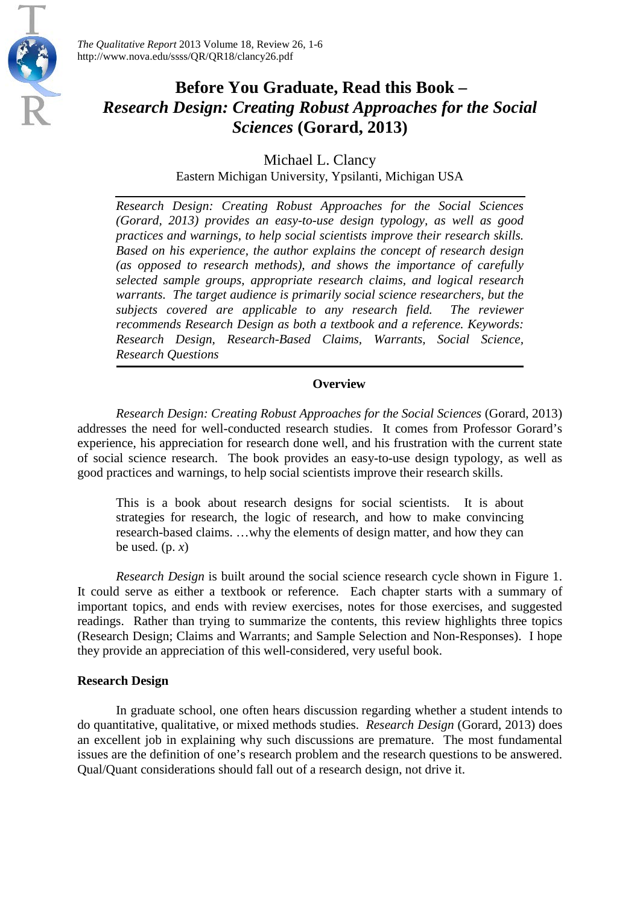

*The Qualitative Report* 2013 Volume 18, Review 26, 1-6 http://www.nova.edu/ssss/QR/QR18/clancy26.pdf

## **Before You Graduate, Read this Book –** *Research Design: Creating Robust Approaches for the Social Sciences* **(Gorard, 2013)**

Michael L. Clancy

Eastern Michigan University, Ypsilanti, Michigan USA

*Research Design: Creating Robust Approaches for the Social Sciences (Gorard, 2013) provides an easy-to-use design typology, as well as good practices and warnings, to help social scientists improve their research skills. Based on his experience, the author explains the concept of research design (as opposed to research methods), and shows the importance of carefully selected sample groups, appropriate research claims, and logical research warrants. The target audience is primarily social science researchers, but the subjects covered are applicable to any research field. The reviewer recommends Research Design as both a textbook and a reference. Keywords: Research Design, Research-Based Claims, Warrants, Social Science, Research Questions*

#### **Overview**

*Research Design: Creating Robust Approaches for the Social Sciences* (Gorard, 2013) addresses the need for well-conducted research studies. It comes from Professor Gorard's experience, his appreciation for research done well, and his frustration with the current state of social science research. The book provides an easy-to-use design typology, as well as good practices and warnings, to help social scientists improve their research skills.

This is a book about research designs for social scientists. It is about strategies for research, the logic of research, and how to make convincing research-based claims. …why the elements of design matter, and how they can be used.  $(p, x)$ 

*Research Design* is built around the social science research cycle shown in Figure 1. It could serve as either a textbook or reference. Each chapter starts with a summary of important topics, and ends with review exercises, notes for those exercises, and suggested readings. Rather than trying to summarize the contents, this review highlights three topics (Research Design; Claims and Warrants; and Sample Selection and Non-Responses). I hope they provide an appreciation of this well-considered, very useful book.

#### **Research Design**

In graduate school, one often hears discussion regarding whether a student intends to do quantitative, qualitative, or mixed methods studies. *Research Design* (Gorard, 2013) does an excellent job in explaining why such discussions are premature. The most fundamental issues are the definition of one's research problem and the research questions to be answered. Qual/Quant considerations should fall out of a research design, not drive it.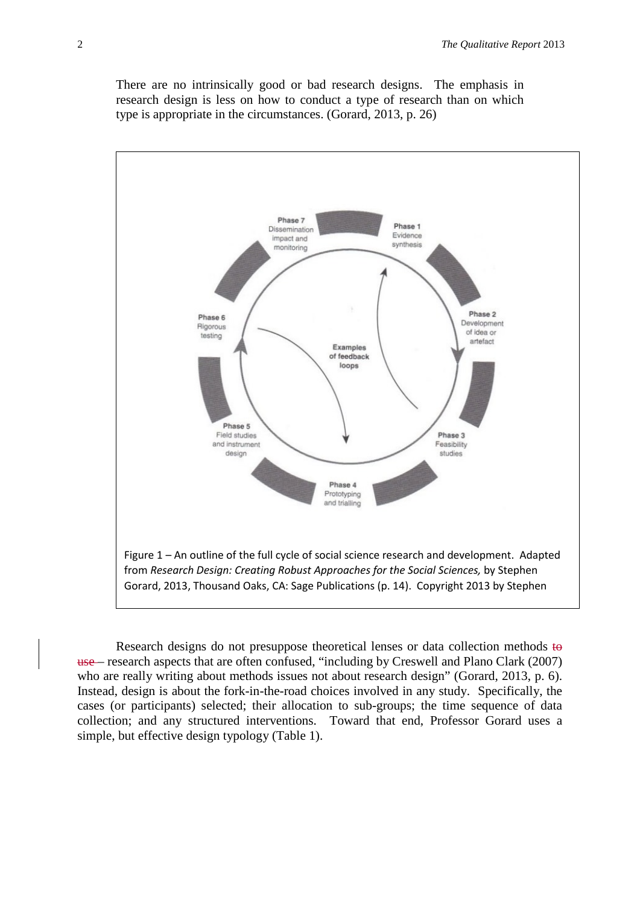There are no intrinsically good or bad research designs. The emphasis in research design is less on how to conduct a type of research than on which type is appropriate in the circumstances. (Gorard, 2013, p. 26)



Research designs do not presuppose theoretical lenses or data collection methods to use – research aspects that are often confused, "including by Creswell and Plano Clark (2007) who are really writing about methods issues not about research design" (Gorard, 2013, p. 6). Instead, design is about the fork-in-the-road choices involved in any study. Specifically, the cases (or participants) selected; their allocation to sub-groups; the time sequence of data collection; and any structured interventions. Toward that end, Professor Gorard uses a simple, but effective design typology (Table 1).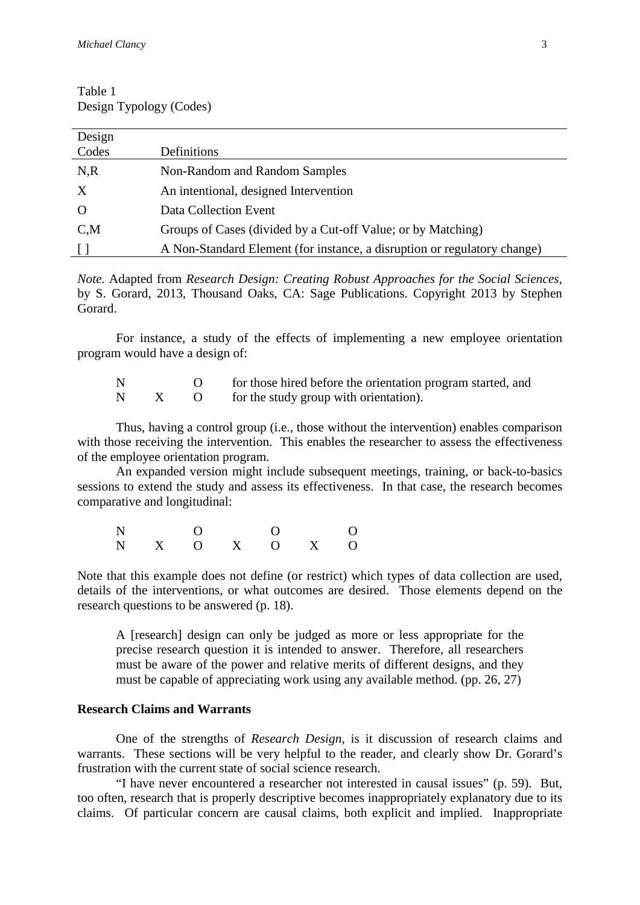| Table 1                 |
|-------------------------|
| Design Typology (Codes) |

| Design<br>Codes           | Definitions                                                              |
|---------------------------|--------------------------------------------------------------------------|
| N, R                      | Non-Random and Random Samples                                            |
|                           |                                                                          |
| $\boldsymbol{\mathrm{X}}$ | An intentional, designed Intervention                                    |
| $\Omega$                  | Data Collection Event                                                    |
| $C_{\rm M}$               | Groups of Cases (divided by a Cut-off Value; or by Matching)             |
|                           | A Non-Standard Element (for instance, a disruption or regulatory change) |

*Note.* Adapted from *Research Design: Creating Robust Approaches for the Social Sciences,* by S. Gorard, 2013, Thousand Oaks, CA: Sage Publications. Copyright 2013 by Stephen Gorard.

For instance, a study of the effects of implementing a new employee orientation program would have a design of:

N O for those hired before the orientation program started, and N X O for the study group with orientation).

Thus, having a control group (i.e., those without the intervention) enables comparison with those receiving the intervention. This enables the researcher to assess the effectiveness of the employee orientation program.

An expanded version might include subsequent meetings, training, or back-to-basics sessions to extend the study and assess its effectiveness. In that case, the research becomes comparative and longitudinal:

N O O O N X O X O X O

Note that this example does not define (or restrict) which types of data collection are used, details of the interventions, or what outcomes are desired. Those elements depend on the research questions to be answered (p. 18).

A [research] design can only be judged as more or less appropriate for the precise research question it is intended to answer. Therefore, all researchers must be aware of the power and relative merits of different designs, and they must be capable of appreciating work using any available method. (pp. 26, 27)

#### **Research Claims and Warrants**

One of the strengths of *Research Design*, is it discussion of research claims and warrants. These sections will be very helpful to the reader, and clearly show Dr. Gorard's frustration with the current state of social science research.

"I have never encountered a researcher not interested in causal issues" (p. 59). But, too often, research that is properly descriptive becomes inappropriately explanatory due to its claims. Of particular concern are causal claims, both explicit and implied. Inappropriate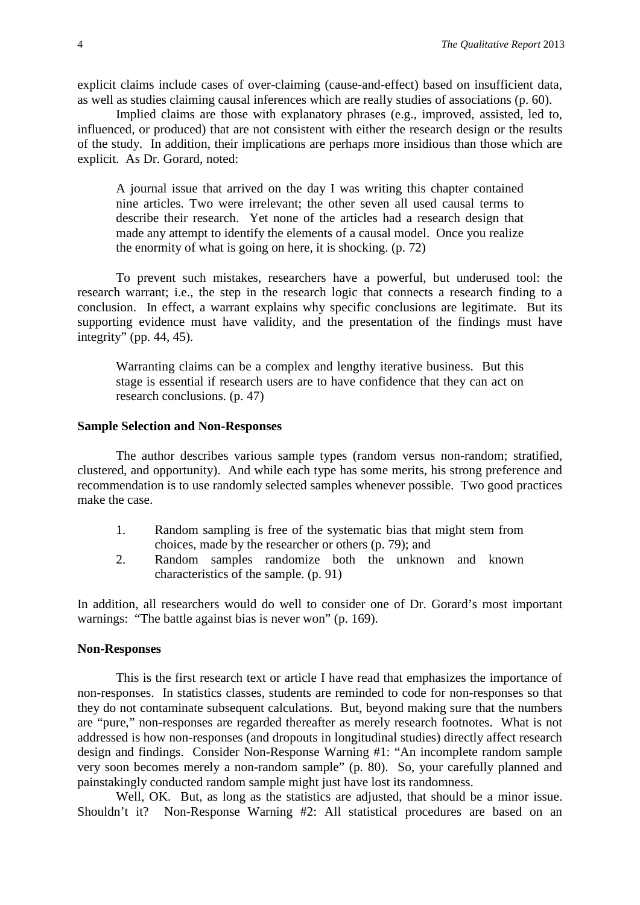explicit claims include cases of over-claiming (cause-and-effect) based on insufficient data, as well as studies claiming causal inferences which are really studies of associations (p. 60).

Implied claims are those with explanatory phrases (e.g., improved, assisted, led to, influenced, or produced) that are not consistent with either the research design or the results of the study. In addition, their implications are perhaps more insidious than those which are explicit. As Dr. Gorard, noted:

A journal issue that arrived on the day I was writing this chapter contained nine articles. Two were irrelevant; the other seven all used causal terms to describe their research. Yet none of the articles had a research design that made any attempt to identify the elements of a causal model. Once you realize the enormity of what is going on here, it is shocking. (p. 72)

To prevent such mistakes, researchers have a powerful, but underused tool: the research warrant; i.e., the step in the research logic that connects a research finding to a conclusion. In effect, a warrant explains why specific conclusions are legitimate. But its supporting evidence must have validity, and the presentation of the findings must have integrity" (pp. 44, 45).

Warranting claims can be a complex and lengthy iterative business. But this stage is essential if research users are to have confidence that they can act on research conclusions. (p. 47)

#### **Sample Selection and Non-Responses**

The author describes various sample types (random versus non-random; stratified, clustered, and opportunity). And while each type has some merits, his strong preference and recommendation is to use randomly selected samples whenever possible. Two good practices make the case.

- 1. Random sampling is free of the systematic bias that might stem from choices, made by the researcher or others (p. 79); and
- 2. Random samples randomize both the unknown and known characteristics of the sample. (p. 91)

In addition, all researchers would do well to consider one of Dr. Gorard's most important warnings: "The battle against bias is never won" (p. 169).

#### **Non-Responses**

This is the first research text or article I have read that emphasizes the importance of non-responses. In statistics classes, students are reminded to code for non-responses so that they do not contaminate subsequent calculations. But, beyond making sure that the numbers are "pure," non-responses are regarded thereafter as merely research footnotes. What is not addressed is how non-responses (and dropouts in longitudinal studies) directly affect research design and findings. Consider Non-Response Warning #1: "An incomplete random sample very soon becomes merely a non-random sample" (p. 80). So, your carefully planned and painstakingly conducted random sample might just have lost its randomness.

Well, OK. But, as long as the statistics are adjusted, that should be a minor issue. Shouldn't it? Non-Response Warning #2: All statistical procedures are based on an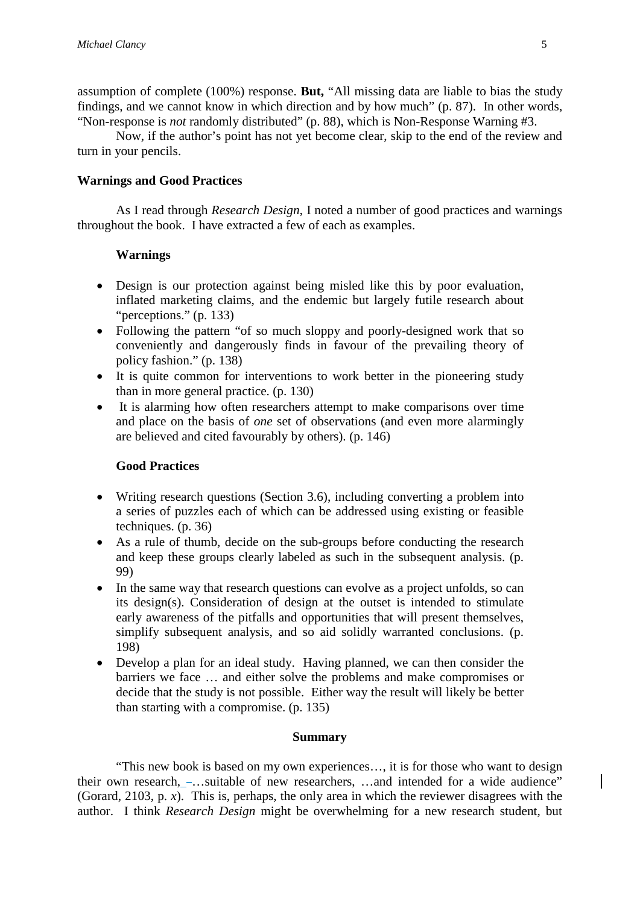assumption of complete (100%) response. **But,** "All missing data are liable to bias the study findings, and we cannot know in which direction and by how much" (p. 87). In other words, "Non-response is *not* randomly distributed" (p. 88), which is Non-Response Warning #3.

Now, if the author's point has not yet become clear, skip to the end of the review and turn in your pencils.

#### **Warnings and Good Practices**

As I read through *Research Design*, I noted a number of good practices and warnings throughout the book. I have extracted a few of each as examples.

#### **Warnings**

- Design is our protection against being misled like this by poor evaluation, inflated marketing claims, and the endemic but largely futile research about "perceptions." (p. 133)
- Following the pattern "of so much sloppy and poorly-designed work that so conveniently and dangerously finds in favour of the prevailing theory of policy fashion." (p. 138)
- It is quite common for interventions to work better in the pioneering study than in more general practice. (p. 130)
- It is alarming how often researchers attempt to make comparisons over time and place on the basis of *one* set of observations (and even more alarmingly are believed and cited favourably by others). (p. 146)

#### **Good Practices**

- Writing research questions (Section 3.6), including converting a problem into a series of puzzles each of which can be addressed using existing or feasible techniques. (p. 36)
- As a rule of thumb, decide on the sub-groups before conducting the research and keep these groups clearly labeled as such in the subsequent analysis. (p. 99)
- In the same way that research questions can evolve as a project unfolds, so can its design(s). Consideration of design at the outset is intended to stimulate early awareness of the pitfalls and opportunities that will present themselves, simplify subsequent analysis, and so aid solidly warranted conclusions. (p. 198)
- Develop a plan for an ideal study. Having planned, we can then consider the barriers we face … and either solve the problems and make compromises or decide that the study is not possible. Either way the result will likely be better than starting with a compromise. (p. 135)

#### **Summary**

"This new book is based on my own experiences…, it is for those who want to design their own research,  $-$ ...suitable of new researchers, ...and intended for a wide audience" (Gorard, 2103, p. *x*). This is, perhaps, the only area in which the reviewer disagrees with the author. I think *Research Design* might be overwhelming for a new research student, but